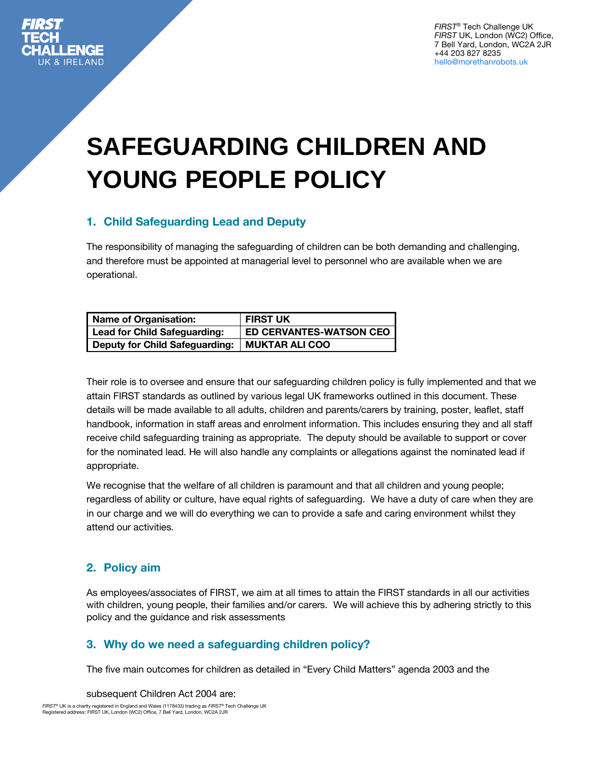

*FIRST*® Tech Challenge UK *FIRST* UK, London (WC2) Office, 7 Bell Yard, London, WC2A 2JR +44 203 827 8235 hello@morethanrobots.uk

# **SAFEGUARDING CHILDREN AND YOUNG PEOPLE POLICY**

# **1. Child Safeguarding Lead and Deputy**

The responsibility of managing the safeguarding of children can be both demanding and challenging, and therefore must be appointed at managerial level to personnel who are available when we are operational.

| <b>Name of Organisation:</b>          | <b>FIRST UK</b>                |
|---------------------------------------|--------------------------------|
| <b>Lead for Child Safeguarding:</b>   | <b>ED CERVANTES-WATSON CEO</b> |
| <b>Deputy for Child Safeguarding:</b> | <b>MUKTAR ALI COO</b>          |

Their role is to oversee and ensure that our safeguarding children policy is fully implemented and that we attain FIRST standards as outlined by various legal UK frameworks outlined in this document. These details will be made available to all adults, children and parents/carers by training, poster, leaflet, staff handbook, information in staff areas and enrolment information. This includes ensuring they and all staff receive child safeguarding training as appropriate. The deputy should be available to support or cover for the nominated lead. He will also handle any complaints or allegations against the nominated lead if appropriate.

We recognise that the welfare of all children is paramount and that all children and young people; regardless of ability or culture, have equal rights of safeguarding. We have a duty of care when they are in our charge and we will do everything we can to provide a safe and caring environment whilst they attend our activities.

# **2. Policy aim**

As employees/associates of FIRST, we aim at all times to attain the FIRST standards in all our activities with children, young people, their families and/or carers. We will achieve this by adhering strictly to this policy and the guidance and risk assessments

## **3. Why do we need a safeguarding children policy?**

The five main outcomes for children as detailed in "Every Child Matters" agenda 2003 and the

subsequent Children Act 2004 are:

*FIRST*® UK is a charity registered in England and Wales (1178433) trading as *FIRST*® Tech Challenge UK Registered address: FIRST UK, London (WC2) Office, 7 Bell Yard, London, WC2A 2JR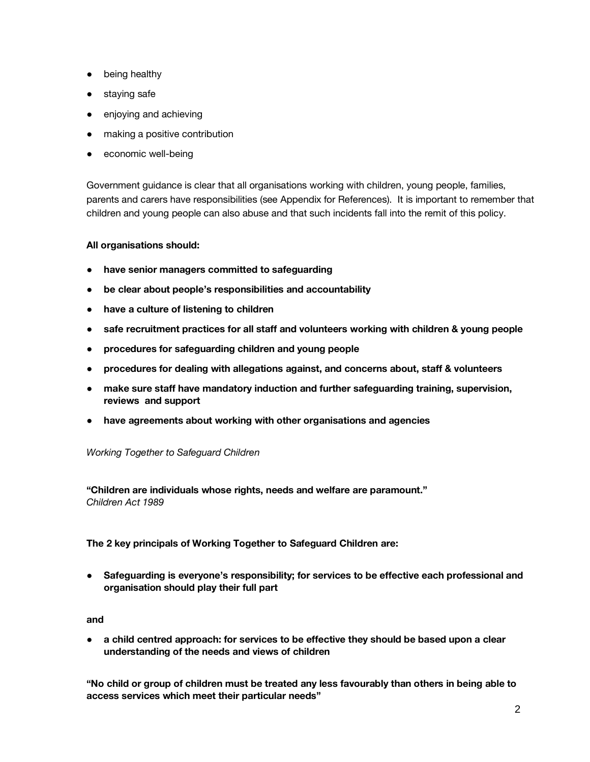- being healthy
- staying safe
- enjoying and achieving
- making a positive contribution
- economic well-being

Government guidance is clear that all organisations working with children, young people, families, parents and carers have responsibilities (see Appendix for References). It is important to remember that children and young people can also abuse and that such incidents fall into the remit of this policy.

#### **All organisations should:**

- **have senior managers committed to safeguarding**
- **be clear about people's responsibilities and accountability**
- **have a culture of listening to children**
- **safe recruitment practices for all staff and volunteers working with children & young people**
- procedures for safeguarding children and young people
- **procedures for dealing with allegations against, and concerns about, staff & volunteers**
- **make sure staff have mandatory induction and further safeguarding training, supervision, reviews and support**
- **have agreements about working with other organisations and agencies**

#### *Working Together to Safeguard Children*

**"Children are individuals whose rights, needs and welfare are paramount."** *Children Act 1989*

**The 2 key principals of Working Together to Safeguard Children are:**

● **Safeguarding is everyone's responsibility; for services to be effective each professional and organisation should play their full part**

#### **and**

● **a child centred approach: for services to be effective they should be based upon a clear understanding of the needs and views of children**

**"No child or group of children must be treated any less favourably than others in being able to access services which meet their particular needs"**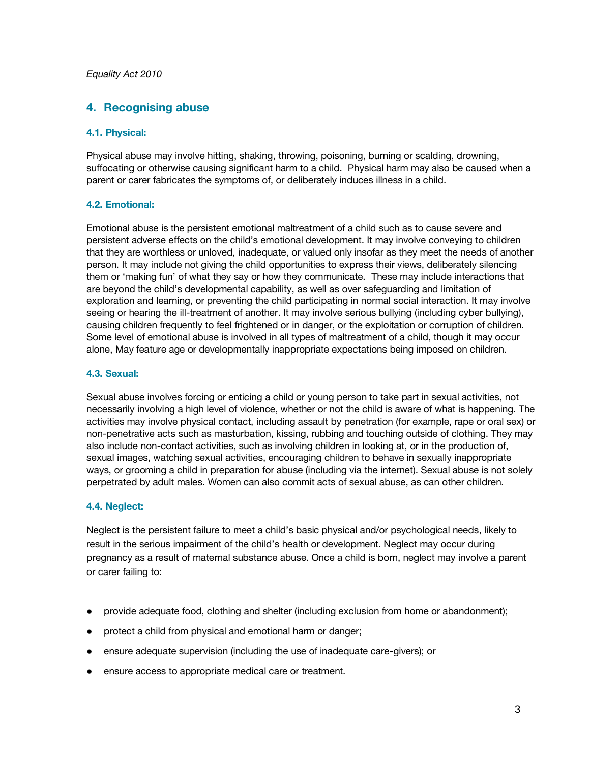#### *Equality Act 2010*

#### **4. Recognising abuse**

#### **4.1. Physical:**

Physical abuse may involve hitting, shaking, throwing, poisoning, burning or scalding, drowning, suffocating or otherwise causing significant harm to a child. Physical harm may also be caused when a parent or carer fabricates the symptoms of, or deliberately induces illness in a child.

#### **4.2. Emotional:**

Emotional abuse is the persistent emotional maltreatment of a child such as to cause severe and persistent adverse effects on the child's emotional development. It may involve conveying to children that they are worthless or unloved, inadequate, or valued only insofar as they meet the needs of another person. It may include not giving the child opportunities to express their views, deliberately silencing them or 'making fun' of what they say or how they communicate. These may include interactions that are beyond the child's developmental capability, as well as over safeguarding and limitation of exploration and learning, or preventing the child participating in normal social interaction. It may involve seeing or hearing the ill-treatment of another. It may involve serious bullying (including cyber bullying), causing children frequently to feel frightened or in danger, or the exploitation or corruption of children. Some level of emotional abuse is involved in all types of maltreatment of a child, though it may occur alone, May feature age or developmentally inappropriate expectations being imposed on children.

#### **4.3. Sexual:**

Sexual abuse involves forcing or enticing a child or young person to take part in sexual activities, not necessarily involving a high level of violence, whether or not the child is aware of what is happening. The activities may involve physical contact, including assault by penetration (for example, rape or oral sex) or non-penetrative acts such as masturbation, kissing, rubbing and touching outside of clothing. They may also include non-contact activities, such as involving children in looking at, or in the production of, sexual images, watching sexual activities, encouraging children to behave in sexually inappropriate ways, or grooming a child in preparation for abuse (including via the internet). Sexual abuse is not solely perpetrated by adult males. Women can also commit acts of sexual abuse, as can other children.

#### **4.4. Neglect:**

Neglect is the persistent failure to meet a child's basic physical and/or psychological needs, likely to result in the serious impairment of the child's health or development. Neglect may occur during pregnancy as a result of maternal substance abuse. Once a child is born, neglect may involve a parent or carer failing to:

- provide adequate food, clothing and shelter (including exclusion from home or abandonment);
- protect a child from physical and emotional harm or danger;
- ensure adequate supervision (including the use of inadequate care-givers); or
- ensure access to appropriate medical care or treatment.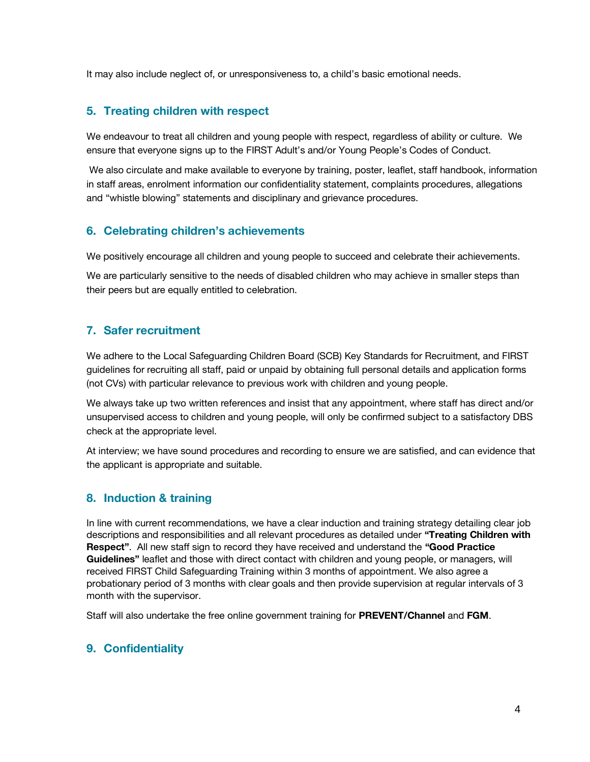It may also include neglect of, or unresponsiveness to, a child's basic emotional needs.

#### **5. Treating children with respect**

We endeavour to treat all children and young people with respect, regardless of ability or culture. We ensure that everyone signs up to the FIRST Adult's and/or Young People's Codes of Conduct.

We also circulate and make available to everyone by training, poster, leaflet, staff handbook, information in staff areas, enrolment information our confidentiality statement, complaints procedures, allegations and "whistle blowing" statements and disciplinary and grievance procedures.

#### **6. Celebrating children's achievements**

We positively encourage all children and young people to succeed and celebrate their achievements.

We are particularly sensitive to the needs of disabled children who may achieve in smaller steps than their peers but are equally entitled to celebration.

# **7. Safer recruitment**

We adhere to the Local Safeguarding Children Board (SCB) Key Standards for Recruitment, and FIRST guidelines for recruiting all staff, paid or unpaid by obtaining full personal details and application forms (not CVs) with particular relevance to previous work with children and young people.

We always take up two written references and insist that any appointment, where staff has direct and/or unsupervised access to children and young people, will only be confirmed subject to a satisfactory DBS check at the appropriate level.

At interview; we have sound procedures and recording to ensure we are satisfied, and can evidence that the applicant is appropriate and suitable.

## **8. Induction & training**

In line with current recommendations, we have a clear induction and training strategy detailing clear job descriptions and responsibilities and all relevant procedures as detailed under **"Treating Children with Respect"**. All new staff sign to record they have received and understand the **"Good Practice Guidelines"** leaflet and those with direct contact with children and young people, or managers, will received FIRST Child Safeguarding Training within 3 months of appointment. We also agree a probationary period of 3 months with clear goals and then provide supervision at regular intervals of 3 month with the supervisor.

Staff will also undertake the free online government training for **[PREVENT/Channel](http://course.ncalt.com/Channel_General_Awareness/01/index.html)** and **[FGM](https://fgmelearning.co.uk/)**.

## **9. Confidentiality**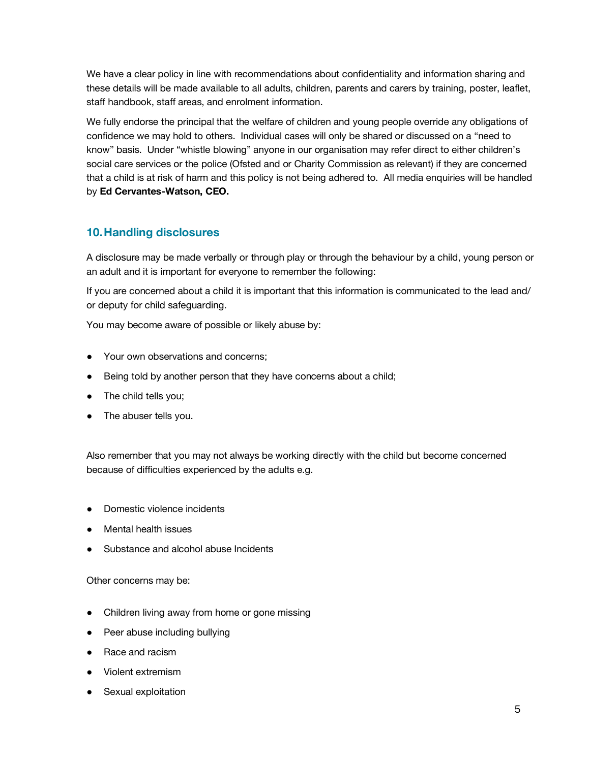We have a clear policy in line with recommendations about confidentiality and information sharing and these details will be made available to all adults, children, parents and carers by training, poster, leaflet, staff handbook, staff areas, and enrolment information.

We fully endorse the principal that the welfare of children and young people override any obligations of confidence we may hold to others. Individual cases will only be shared or discussed on a "need to know" basis. Under "whistle blowing" anyone in our organisation may refer direct to either children's social care services or the police (Ofsted and or Charity Commission as relevant) if they are concerned that a child is at risk of harm and this policy is not being adhered to. All media enquiries will be handled by **Ed Cervantes-Watson, CEO.**

# **10.Handling disclosures**

A disclosure may be made verbally or through play or through the behaviour by a child, young person or an adult and it is important for everyone to remember the following:

If you are concerned about a child it is important that this information is communicated to the lead and/ or deputy for child safeguarding.

You may become aware of possible or likely abuse by:

- Your own observations and concerns:
- Being told by another person that they have concerns about a child;
- The child tells you;
- The abuser tells you.

Also remember that you may not always be working directly with the child but become concerned because of difficulties experienced by the adults e.g.

- Domestic violence incidents
- Mental health issues
- Substance and alcohol abuse Incidents

Other concerns may be:

- Children living away from home or gone missing
- Peer abuse including bullying
- Race and racism
- Violent extremism
- Sexual exploitation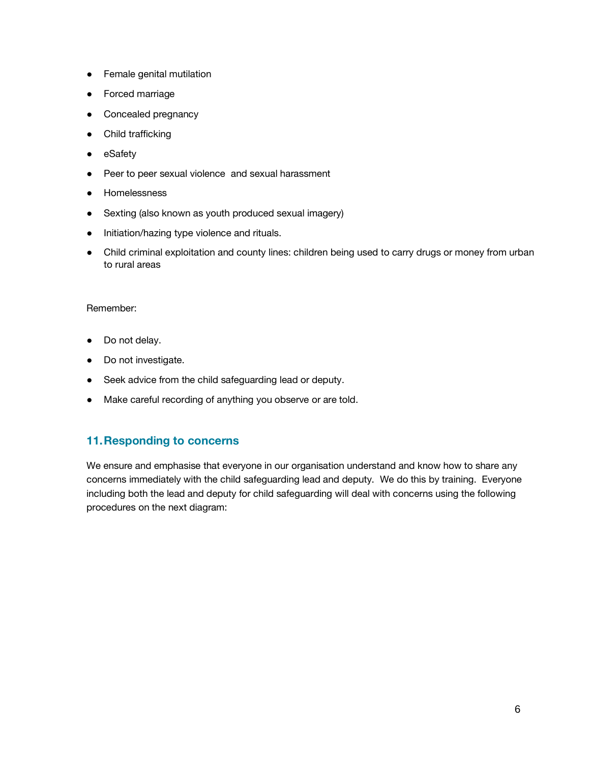- Female genital mutilation
- **Forced marriage**
- Concealed pregnancy
- Child trafficking
- eSafety
- Peer to peer sexual violence and sexual harassment
- Homelessness
- Sexting (also known as youth produced sexual imagery)
- Initiation/hazing type violence and rituals.
- Child criminal exploitation and county lines: children being used to carry drugs or money from urban to rural areas

#### Remember:

- Do not delay.
- Do not investigate.
- Seek advice from the child safeguarding lead or deputy.
- Make careful recording of anything you observe or are told.

#### **11.Responding to concerns**

We ensure and emphasise that everyone in our organisation understand and know how to share any concerns immediately with the child safeguarding lead and deputy. We do this by training. Everyone including both the lead and deputy for child safeguarding will deal with concerns using the following procedures on the next diagram: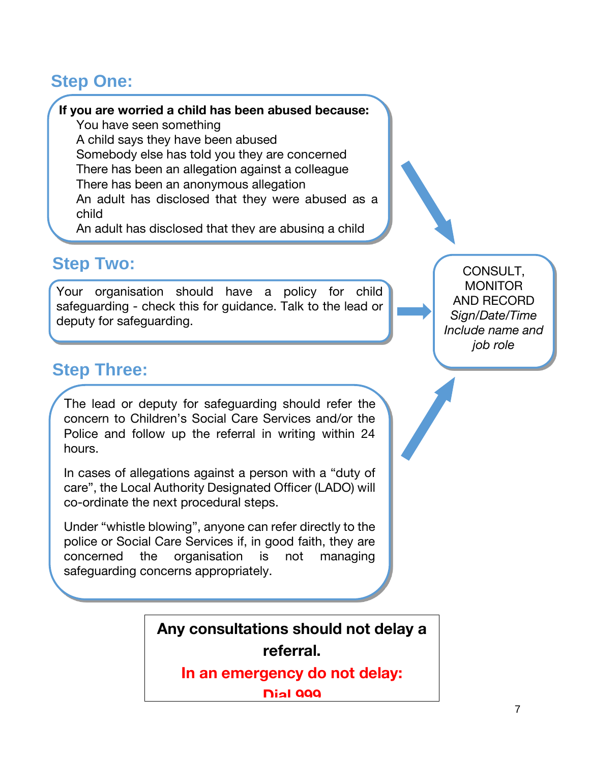# **Step One:**

## **If you are worried a child has been abused because:**

You have seen something A child says they have been abused Somebody else has told you they are concerned There has been an allegation against a colleague There has been an anonymous allegation An adult has disclosed that they were abused as a child

An adult has disclosed that they are abusing a child

# **Step Two:**

Your organisation should have a policy for child safeguarding - check this for guidance. Talk to the lead or deputy for safeguarding.

# **Step Three:**

The lead or deputy for safeguarding should refer the concern to Children's Social Care Services and/or the Police and follow up the referral in writing within 24 hours.

In cases of allegations against a person with a "duty of care", the Local Authority Designated Officer (LADO) will co-ordinate the next procedural steps.

Under "whistle blowing", anyone can refer directly to the police or Social Care Services if, in good faith, they are concerned the organisation is not managing safeguarding concerns appropriately.

CONSULT, **MONITOR** AND RECORD *Sign/Date/Time Include name and job role*

# **Any consultations should not delay a**

**referral.**

**In an emergency do not delay:** 

**Dial 999**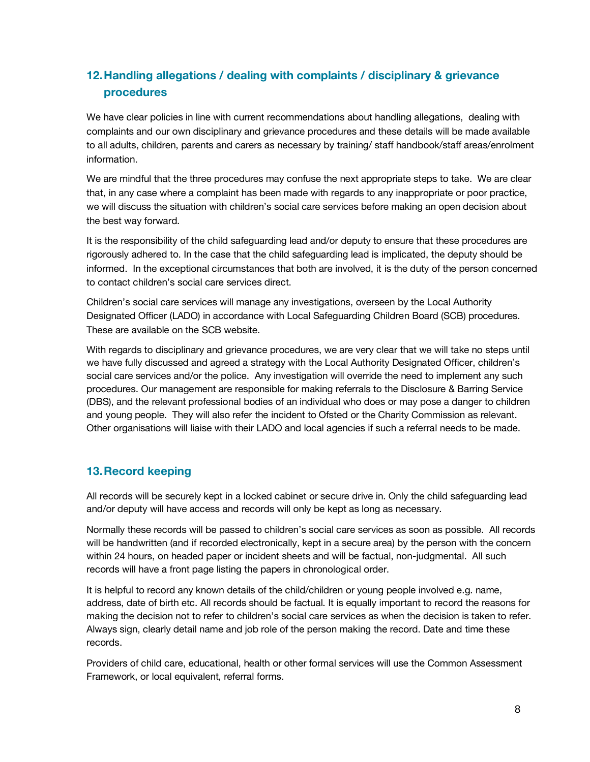# **12.Handling allegations / dealing with complaints / disciplinary & grievance procedures**

We have clear policies in line with current recommendations about handling allegations, dealing with complaints and our own disciplinary and grievance procedures and these details will be made available to all adults, children, parents and carers as necessary by training/ staff handbook/staff areas/enrolment information.

We are mindful that the three procedures may confuse the next appropriate steps to take. We are clear that, in any case where a complaint has been made with regards to any inappropriate or poor practice, we will discuss the situation with children's social care services before making an open decision about the best way forward.

It is the responsibility of the child safeguarding lead and/or deputy to ensure that these procedures are rigorously adhered to. In the case that the child safeguarding lead is implicated, the deputy should be informed. In the exceptional circumstances that both are involved, it is the duty of the person concerned to contact children's social care services direct.

Children's social care services will manage any investigations, overseen by the Local Authority Designated Officer (LADO) in accordance with Local Safeguarding Children Board (SCB) procedures. These are available on the SCB website.

With regards to disciplinary and grievance procedures, we are very clear that we will take no steps until we have fully discussed and agreed a strategy with the Local Authority Designated Officer, children's social care services and/or the police. Any investigation will override the need to implement any such procedures. Our management are responsible for making referrals to the Disclosure & Barring Service (DBS), and the relevant professional bodies of an individual who does or may pose a danger to children and young people. They will also refer the incident to Ofsted or the Charity Commission as relevant. Other organisations will liaise with their LADO and local agencies if such a referral needs to be made.

## **13.Record keeping**

All records will be securely kept in a locked cabinet or secure drive in. Only the child safeguarding lead and/or deputy will have access and records will only be kept as long as necessary.

Normally these records will be passed to children's social care services as soon as possible. All records will be handwritten (and if recorded electronically, kept in a secure area) by the person with the concern within 24 hours, on headed paper or incident sheets and will be factual, non-judgmental. All such records will have a front page listing the papers in chronological order.

It is helpful to record any known details of the child/children or young people involved e.g. name, address, date of birth etc. All records should be factual. It is equally important to record the reasons for making the decision not to refer to children's social care services as when the decision is taken to refer. Always sign, clearly detail name and job role of the person making the record. Date and time these records.

Providers of child care, educational, health or other formal services will use the Common Assessment Framework, or local equivalent, referral forms.